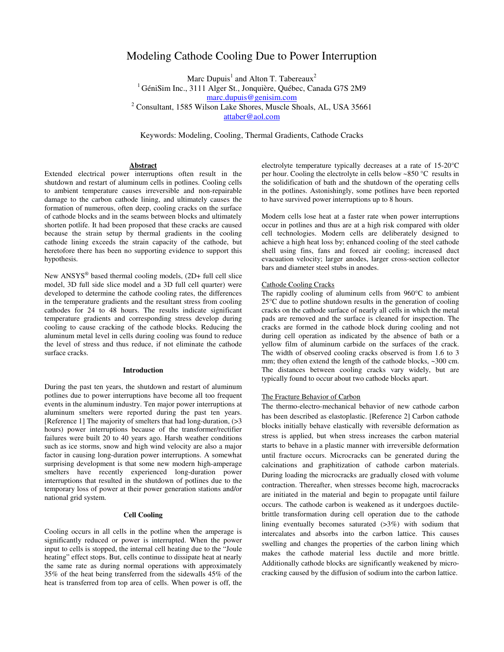# Modeling Cathode Cooling Due to Power Interruption

Marc Dupuis<sup>1</sup> and Alton T. Tabereaux<sup>2</sup>

<sup>1</sup> GéniSim Inc., 3111 Alger St., Jonquière, Québec, Canada G7S 2M9

marc.dupuis@genisim.com

<sup>2</sup> Consultant, 1585 Wilson Lake Shores, Muscle Shoals, AL, USA 35661

attaber@aol.com

Keywords: Modeling, Cooling, Thermal Gradients, Cathode Cracks

# **Abstract**

Extended electrical power interruptions often result in the shutdown and restart of aluminum cells in potlines. Cooling cells to ambient temperature causes irreversible and non-repairable damage to the carbon cathode lining, and ultimately causes the formation of numerous, often deep, cooling cracks on the surface of cathode blocks and in the seams between blocks and ultimately shorten potlife. It had been proposed that these cracks are caused because the strain setup by thermal gradients in the cooling cathode lining exceeds the strain capacity of the cathode, but heretofore there has been no supporting evidence to support this hypothesis.

New ANSYS<sup>®</sup> based thermal cooling models, (2D+ full cell slice model, 3D full side slice model and a 3D full cell quarter) were developed to determine the cathode cooling rates, the differences in the temperature gradients and the resultant stress from cooling cathodes for 24 to 48 hours. The results indicate significant temperature gradients and corresponding stress develop during cooling to cause cracking of the cathode blocks. Reducing the aluminum metal level in cells during cooling was found to reduce the level of stress and thus reduce, if not eliminate the cathode surface cracks.

### **Introduction**

During the past ten years, the shutdown and restart of aluminum potlines due to power interruptions have become all too frequent events in the aluminum industry. Ten major power interruptions at aluminum smelters were reported during the past ten years. [Reference 1] The majority of smelters that had long-duration, (>3 hours) power interruptions because of the transformer/rectifier failures were built 20 to 40 years ago. Harsh weather conditions such as ice storms, snow and high wind velocity are also a major factor in causing long-duration power interruptions. A somewhat surprising development is that some new modern high-amperage smelters have recently experienced long-duration power interruptions that resulted in the shutdown of potlines due to the temporary loss of power at their power generation stations and/or national grid system.

# **Cell Cooling**

Cooling occurs in all cells in the potline when the amperage is significantly reduced or power is interrupted. When the power input to cells is stopped, the internal cell heating due to the "Joule heating" effect stops. But, cells continue to dissipate heat at nearly the same rate as during normal operations with approximately 35% of the heat being transferred from the sidewalls 45% of the heat is transferred from top area of cells. When power is off, the

electrolyte temperature typically decreases at a rate of 15-20°C per hour. Cooling the electrolyte in cells below ~850 °C results in the solidification of bath and the shutdown of the operating cells in the potlines. Astonishingly, some potlines have been reported to have survived power interruptions up to 8 hours.

Modern cells lose heat at a faster rate when power interruptions occur in potlines and thus are at a high risk compared with older cell technologies. Modern cells are deliberately designed to achieve a high heat loss by; enhanced cooling of the steel cathode shell using fins, fans and forced air cooling; increased duct evacuation velocity; larger anodes, larger cross-section collector bars and diameter steel stubs in anodes.

### Cathode Cooling Cracks

The rapidly cooling of aluminum cells from 960°C to ambient 25°C due to potline shutdown results in the generation of cooling cracks on the cathode surface of nearly all cells in which the metal pads are removed and the surface is cleaned for inspection. The cracks are formed in the cathode block during cooling and not during cell operation as indicated by the absence of bath or a yellow film of aluminum carbide on the surfaces of the crack. The width of observed cooling cracks observed is from 1.6 to 3 mm; they often extend the length of the cathode blocks, ~300 cm. The distances between cooling cracks vary widely, but are typically found to occur about two cathode blocks apart.

### The Fracture Behavior of Carbon

The thermo-electro-mechanical behavior of new cathode carbon has been described as elastoplastic. [Reference 2] Carbon cathode blocks initially behave elastically with reversible deformation as stress is applied, but when stress increases the carbon material starts to behave in a plastic manner with irreversible deformation until fracture occurs. Microcracks can be generated during the calcinations and graphitization of cathode carbon materials. During loading the microcracks are gradually closed with volume contraction. Thereafter, when stresses become high, macrocracks are initiated in the material and begin to propagate until failure occurs. The cathode carbon is weakened as it undergoes ductilebrittle transformation during cell operation due to the cathode lining eventually becomes saturated  $(>3\%)$  with sodium that intercalates and absorbs into the carbon lattice. This causes swelling and changes the properties of the carbon lining which makes the cathode material less ductile and more brittle. Additionally cathode blocks are significantly weakened by microcracking caused by the diffusion of sodium into the carbon lattice.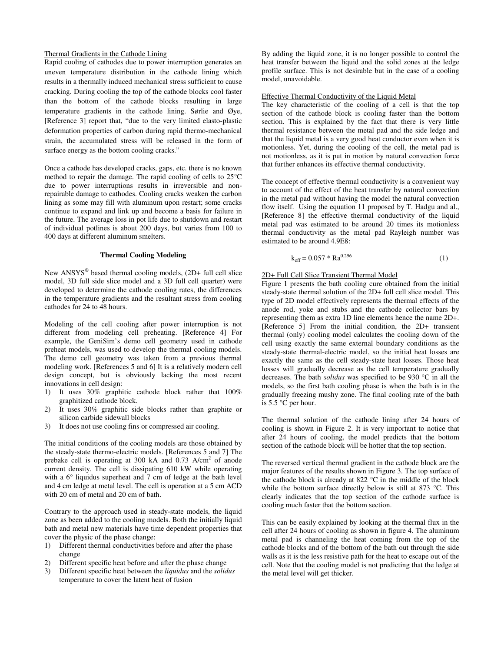### Thermal Gradients in the Cathode Lining

Rapid cooling of cathodes due to power interruption generates an uneven temperature distribution in the cathode lining which results in a thermally induced mechanical stress sufficient to cause cracking. During cooling the top of the cathode blocks cool faster than the bottom of the cathode blocks resulting in large temperature gradients in the cathode lining. Sørlie and Øye, [Reference 3] report that, "due to the very limited elasto-plastic deformation properties of carbon during rapid thermo-mechanical strain, the accumulated stress will be released in the form of surface energy as the bottom cooling cracks."

Once a cathode has developed cracks, gaps, etc. there is no known method to repair the damage. The rapid cooling of cells to 25°C due to power interruptions results in irreversible and nonrepairable damage to cathodes. Cooling cracks weaken the carbon lining as some may fill with aluminum upon restart; some cracks continue to expand and link up and become a basis for failure in the future. The average loss in pot life due to shutdown and restart of individual potlines is about 200 days, but varies from 100 to 400 days at different aluminum smelters.

### **Thermal Cooling Modeling**

New ANSYS<sup>®</sup> based thermal cooling models, (2D+ full cell slice model, 3D full side slice model and a 3D full cell quarter) were developed to determine the cathode cooling rates, the differences in the temperature gradients and the resultant stress from cooling cathodes for 24 to 48 hours.

Modeling of the cell cooling after power interruption is not different from modeling cell preheating. [Reference 4] For example, the GeniSim's demo cell geometry used in cathode preheat models, was used to develop the thermal cooling models. The demo cell geometry was taken from a previous thermal modeling work. [References 5 and 6] It is a relatively modern cell design concept, but is obviously lacking the most recent innovations in cell design:

- 1) It uses 30% graphitic cathode block rather that 100% graphitized cathode block.
- 2) It uses 30% graphitic side blocks rather than graphite or silicon carbide sidewall blocks
- 3) It does not use cooling fins or compressed air cooling.

The initial conditions of the cooling models are those obtained by the steady-state thermo-electric models. [References 5 and 7] The prebake cell is operating at 300 kA and 0.73 A/cm<sup>2</sup> of anode current density. The cell is dissipating 610 kW while operating with a 6° liquidus superheat and 7 cm of ledge at the bath level and 4 cm ledge at metal level. The cell is operation at a 5 cm ACD with 20 cm of metal and 20 cm of bath.

Contrary to the approach used in steady-state models, the liquid zone as been added to the cooling models. Both the initially liquid bath and metal new materials have time dependent properties that cover the physic of the phase change:

- 1) Different thermal conductivities before and after the phase change
- 2) Different specific heat before and after the phase change
- 3) Different specific heat between the *liquidus* and the *solidus* temperature to cover the latent heat of fusion

By adding the liquid zone, it is no longer possible to control the heat transfer between the liquid and the solid zones at the ledge profile surface. This is not desirable but in the case of a cooling model, unavoidable.

### Effective Thermal Conductivity of the Liquid Metal

The key characteristic of the cooling of a cell is that the top section of the cathode block is cooling faster than the bottom section. This is explained by the fact that there is very little thermal resistance between the metal pad and the side ledge and that the liquid metal is a very good heat conductor even when it is motionless. Yet, during the cooling of the cell, the metal pad is not motionless, as it is put in motion by natural convection force that further enhances its effective thermal conductivity.

The concept of effective thermal conductivity is a convenient way to account of the effect of the heat transfer by natural convection in the metal pad without having the model the natural convection flow itself. Using the equation 11 proposed by T. Hadgu and al., [Reference 8] the effective thermal conductivity of the liquid metal pad was estimated to be around 20 times its motionless thermal conductivity as the metal pad Rayleigh number was estimated to be around 4.9E8:

$$
k_{\text{eff}} = 0.057 * Ra^{0.296}
$$
 (1)

# 2D+ Full Cell Slice Transient Thermal Model

Figure 1 presents the bath cooling cure obtained from the initial steady-state thermal solution of the 2D+ full cell slice model. This type of 2D model effectively represents the thermal effects of the anode rod, yoke and stubs and the cathode collector bars by representing them as extra 1D line elements hence the name 2D+. [Reference 5] From the initial condition, the 2D+ transient thermal (only) cooling model calculates the cooling down of the cell using exactly the same external boundary conditions as the steady-state thermal-electric model, so the initial heat losses are exactly the same as the cell steady-state heat losses. Those heat losses will gradually decrease as the cell temperature gradually decreases. The bath *solidus* was specified to be 930 °C in all the models, so the first bath cooling phase is when the bath is in the gradually freezing mushy zone. The final cooling rate of the bath is 5.5 °C per hour.

The thermal solution of the cathode lining after 24 hours of cooling is shown in Figure 2. It is very important to notice that after 24 hours of cooling, the model predicts that the bottom section of the cathode block will be hotter that the top section.

The reversed vertical thermal gradient in the cathode block are the major features of the results shown in Figure 3. The top surface of the cathode block is already at 822 °C in the middle of the block while the bottom surface directly below is still at 873 °C. This clearly indicates that the top section of the cathode surface is cooling much faster that the bottom section.

This can be easily explained by looking at the thermal flux in the cell after 24 hours of cooling as shown in figure 4. The aluminum metal pad is channeling the heat coming from the top of the cathode blocks and of the bottom of the bath out through the side walls as it is the less resistive path for the heat to escape out of the cell. Note that the cooling model is not predicting that the ledge at the metal level will get thicker.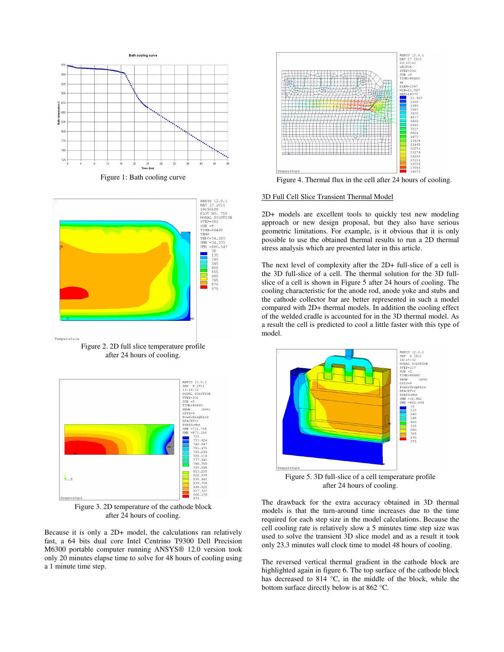

Figure 1: Bath cooling curve



Figure 2. 2D full slice temperature profile after 24 hours of cooling.



Figure 3. 2D temperature of the cathode block after 24 hours of cooling.

Because it is only a 2D+ model, the calculations ran relatively fast, a 64 bits dual core Intel Centrino T9300 Dell Precision M6300 portable computer running ANSYS® 12.0 version took only 20 minutes elapse time to solve for 48 hours of cooling using a 1 minute time step.



Figure 4. Thermal flux in the cell after 24 hours of cooling.

### 3D Full Cell Slice Transient Thermal Model

2D+ models are excellent tools to quickly test new modeling approach or new design proposal, but they also have serious geometric limitations. For example, is it obvious that it is only possible to use the obtained thermal results to run a 2D thermal stress analysis which are presented later in this article.

The next level of complexity after the 2D+ full-slice of a cell is the 3D full-slice of a cell. The thermal solution for the 3D fullslice of a cell is shown in Figure 5 after 24 hours of cooling. The cooling characteristic for the anode rod, anode yoke and stubs and the cathode collector bar are better represented in such a model compared with 2D+ thermal models. In addition the cooling effect of the welded cradle is accounted for in the 3D thermal model. As a result the cell is predicted to cool a little faster with this type of model.



Figure 5. 3D full-slice of a cell temperature profile after 24 hours of cooling.

The drawback for the extra accuracy obtained in 3D thermal models is that the turn-around time increases due to the time required for each step size in the model calculations. Because the cell cooling rate is relatively slow a 5 minutes time step size was used to solve the transient 3D slice model and as a result it took only 23.3 minutes wall clock time to model 48 hours of cooling.

The reversed vertical thermal gradient in the cathode block are highlighted again in figure 6. The top surface of the cathode block has decreased to 814 °C, in the middle of the block, while the bottom surface directly below is at 862 °C.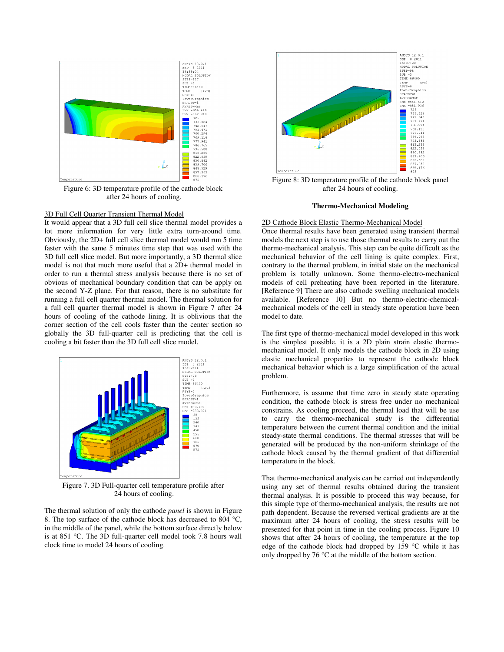

Figure 6: 3D temperature profile of the cathode block after 24 hours of cooling.

# 3D Full Cell Quarter Transient Thermal Model

It would appear that a 3D full cell slice thermal model provides a lot more information for very little extra turn-around time. Obviously, the 2D+ full cell slice thermal model would run 5 time faster with the same 5 minutes time step that was used with the 3D full cell slice model. But more importantly, a 3D thermal slice model is not that much more useful that a 2D+ thermal model in order to run a thermal stress analysis because there is no set of obvious of mechanical boundary condition that can be apply on the second Y-Z plane. For that reason, there is no substitute for running a full cell quarter thermal model. The thermal solution for a full cell quarter thermal model is shown in Figure 7 after 24 hours of cooling of the cathode lining. It is oblivious that the corner section of the cell cools faster than the center section so globally the 3D full-quarter cell is predicting that the cell is cooling a bit faster than the 3D full cell slice model.



Figure 7. 3D Full-quarter cell temperature profile after 24 hours of cooling.

The thermal solution of only the cathode *panel* is shown in Figure 8. The top surface of the cathode block has decreased to 804 °C, in the middle of the panel, while the bottom surface directly below is at 851 °C. The 3D full-quarter cell model took 7.8 hours wall clock time to model 24 hours of cooling.



Figure 8: 3D temperature profile of the cathode block panel after 24 hours of cooling.

#### **Thermo-Mechanical Modeling**

# 2D Cathode Block Elastic Thermo-Mechanical Model

Once thermal results have been generated using transient thermal models the next step is to use those thermal results to carry out the thermo-mechanical analysis. This step can be quite difficult as the mechanical behavior of the cell lining is quite complex. First, contrary to the thermal problem, in initial state on the mechanical problem is totally unknown. Some thermo-electro-mechanical models of cell preheating have been reported in the literature. [Reference 9] There are also cathode swelling mechanical models available. [Reference 10] But no thermo-electric-chemicalmechanical models of the cell in steady state operation have been model to date.

The first type of thermo-mechanical model developed in this work is the simplest possible, it is a 2D plain strain elastic thermomechanical model. It only models the cathode block in 2D using elastic mechanical properties to represent the cathode block mechanical behavior which is a large simplification of the actual problem.

Furthermore, is assume that time zero in steady state operating condition, the cathode block is stress free under no mechanical constrains. As cooling proceed, the thermal load that will be use to carry the thermo-mechanical study is the differential temperature between the current thermal condition and the initial steady-state thermal conditions. The thermal stresses that will be generated will be produced by the non-uniform shrinkage of the cathode block caused by the thermal gradient of that differential temperature in the block.

That thermo-mechanical analysis can be carried out independently using any set of thermal results obtained during the transient thermal analysis. It is possible to proceed this way because, for this simple type of thermo-mechanical analysis, the results are not path dependent. Because the reversed vertical gradients are at the maximum after 24 hours of cooling, the stress results will be presented for that point in time in the cooling process. Figure 10 shows that after 24 hours of cooling, the temperature at the top edge of the cathode block had dropped by 159 °C while it has only dropped by 76 °C at the middle of the bottom section.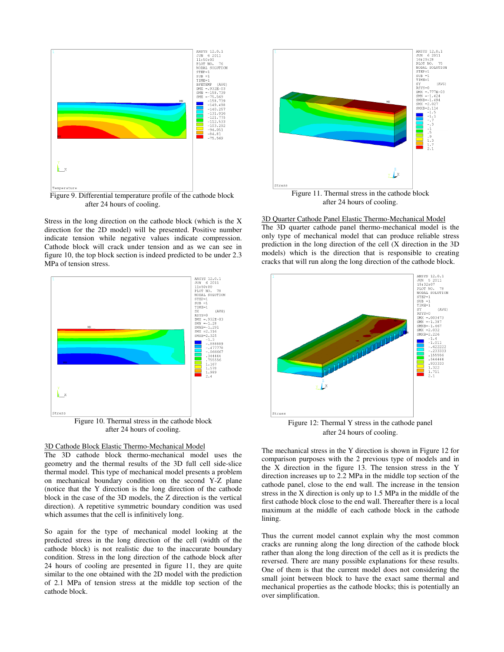

 Figure 9. Differential temperature profile of the cathode block after 24 hours of cooling.

Stress in the long direction on the cathode block (which is the X direction for the 2D model) will be presented. Positive number indicate tension while negative values indicate compression. Cathode block will crack under tension and as we can see in figure 10, the top block section is indeed predicted to be under 2.3 MPa of tension stress.



### 3D Cathode Block Elastic Thermo-Mechanical Model

The 3D cathode block thermo-mechanical model uses the geometry and the thermal results of the 3D full cell side-slice thermal model. This type of mechanical model presents a problem on mechanical boundary condition on the second Y-Z plane (notice that the Y direction is the long direction of the cathode block in the case of the 3D models, the Z direction is the vertical direction). A repetitive symmetric boundary condition was used which assumes that the cell is infinitively long.

So again for the type of mechanical model looking at the predicted stress in the long direction of the cell (width of the cathode block) is not realistic due to the inaccurate boundary condition. Stress in the long direction of the cathode block after 24 hours of cooling are presented in figure 11, they are quite similar to the one obtained with the 2D model with the prediction of 2.1 MPa of tension stress at the middle top section of the cathode block.



after 24 hours of cooling.

3D Quarter Cathode Panel Elastic Thermo-Mechanical Model The 3D quarter cathode panel thermo-mechanical model is the only type of mechanical model that can produce reliable stress prediction in the long direction of the cell (X direction in the 3D models) which is the direction that is responsible to creating cracks that will run along the long direction of the cathode block.



after 24 hours of cooling.

The mechanical stress in the Y direction is shown in Figure 12 for comparison purposes with the 2 previous type of models and in the X direction in the figure 13. The tension stress in the Y direction increases up to 2.2 MPa in the middle top section of the cathode panel, close to the end wall. The increase in the tension stress in the X direction is only up to 1.5 MPa in the middle of the first cathode block close to the end wall. Thereafter there is a local maximum at the middle of each cathode block in the cathode lining.

Thus the current model cannot explain why the most common cracks are running along the long direction of the cathode block rather than along the long direction of the cell as it is predicts the reversed. There are many possible explanations for these results. One of them is that the current model does not considering the small joint between block to have the exact same thermal and mechanical properties as the cathode blocks; this is potentially an over simplification.